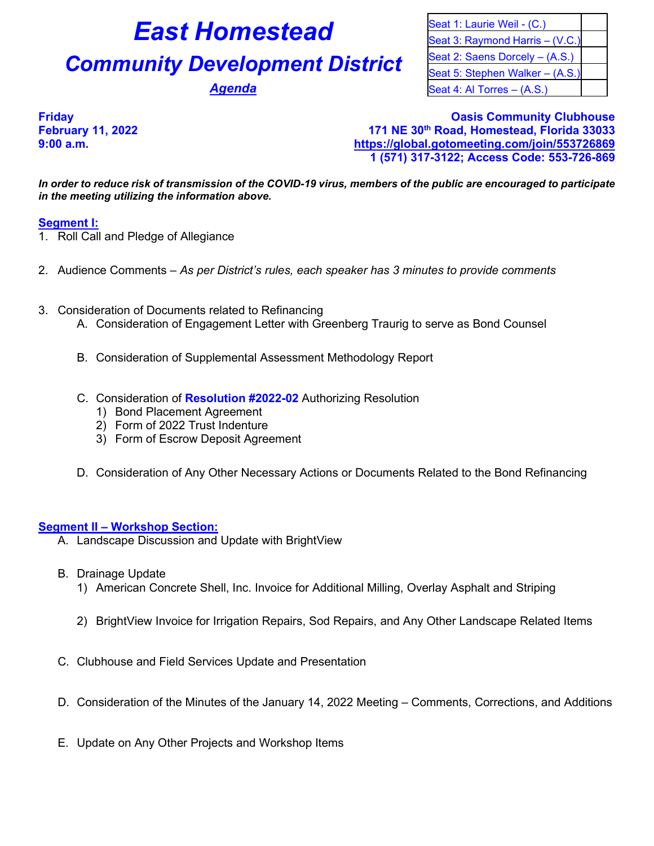# **East Homestead** Seat 1: Laurie Weil - (C.)

# **Community Development District** Seat 2: Saens Dorcely – (A.S.)

Seat 3: Raymond Harris – (V.C.) Seat 5: Stephen Walker – (A.S.) **Agenda** Seat 4: Al Torres – (A.S.)

# **Friday Oasis Community Clubhouse February 11, 2022 171 NE 30th Road, Homestead, Florida 33033 9:00 a.m. <https://global.gotomeeting.com/join/553726869> 1 (571) 317-3122; Access Code: 553-726-869**

*In order to reduce risk of transmission of the COVID-19 virus, members of the public are encouraged to participate in the meeting utilizing the information above.*

# **Segment I:**

- 1. Roll Call and Pledge of Allegiance
- 2. Audience Comments *As per District's rules, each speaker has 3 minutes to provide comments*
- 3. Consideration of Documents related to Refinancing
	- A. Consideration of Engagement Letter with Greenberg Traurig to serve as Bond Counsel
	- B. Consideration of Supplemental Assessment Methodology Report
	- C. Consideration of **Resolution #2022-02** Authorizing Resolution
		- 1) Bond Placement Agreement
		- 2) Form of 2022 Trust Indenture
		- 3) Form of Escrow Deposit Agreement
	- D. Consideration of Any Other Necessary Actions or Documents Related to the Bond Refinancing

## **Segment II – Workshop Section:**

- A. Landscape Discussion and Update with BrightView
- B. Drainage Update
	- 1) American Concrete Shell, Inc. Invoice for Additional Milling, Overlay Asphalt and Striping
	- 2) BrightView Invoice for Irrigation Repairs, Sod Repairs, and Any Other Landscape Related Items
- C. Clubhouse and Field Services Update and Presentation
- D. Consideration of the Minutes of the January 14, 2022 Meeting Comments, Corrections, and Additions
- E. Update on Any Other Projects and Workshop Items